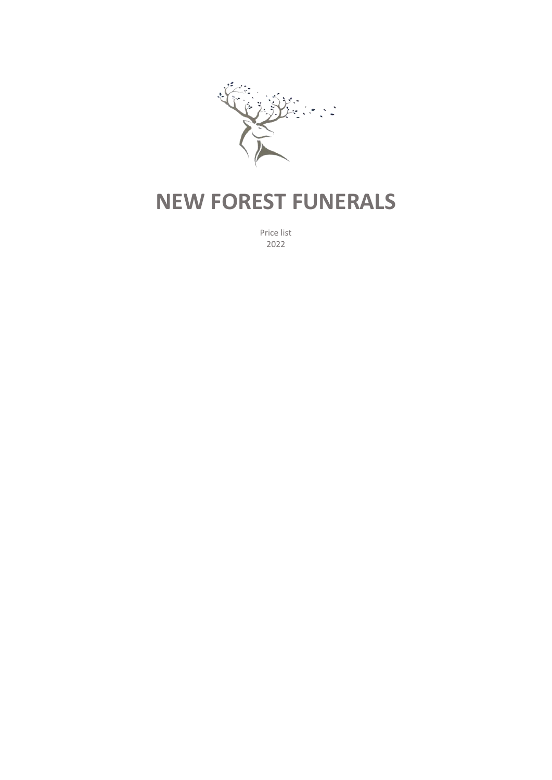

# **NEW FOREST FUNERALS**

Price list 2022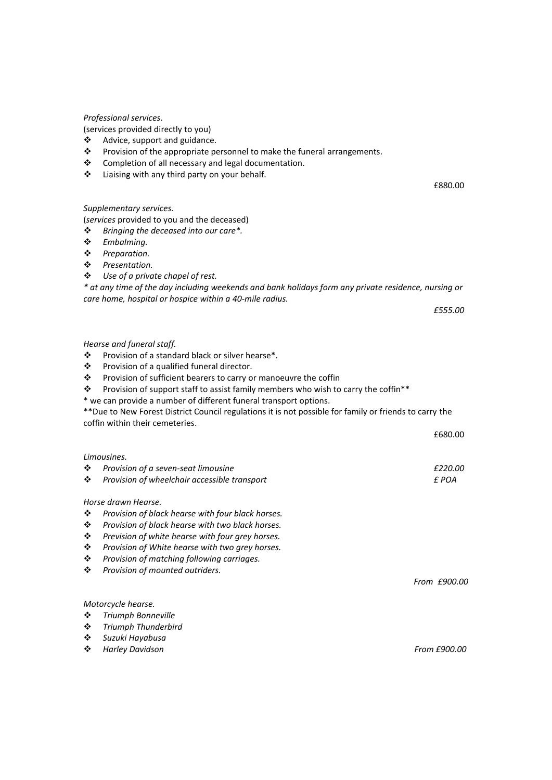#### *Professional services*.

(services provided directly to you)

- ❖ Advice, support and guidance.
- ❖ Provision of the appropriate personnel to make the funeral arrangements.
- ❖ Completion of all necessary and legal documentation.
- ❖ Liaising with any third party on your behalf.

### *Supplementary services.*

(*services* provided to you and the deceased)

- ❖ *Bringing the deceased into our care\*.*
- ❖ *Embalming.*
- ❖ *Preparation.*
- ❖ *Presentation.*
- ❖ *Use of a private chapel of rest.*

*\* at any time of the day including weekends and bank holidays form any private residence, nursing or care home, hospital or hospice within a 40-mile radius.*

*£555.00*

#### *Hearse and funeral staff.*

- ❖ Provision of a standard black or silver hearse\*.
- ❖ Provision of a qualified funeral director.
- ❖ Provision of sufficient bearers to carry or manoeuvre the coffin
- ❖ Provision of support staff to assist family members who wish to carry the coffin\*\*
- \* we can provide a number of different funeral transport options.

\*\*Due to New Forest District Council regulations it is not possible for family or friends to carry the coffin within their cemeteries.

£680.00 *Limousines.* ❖ *Provision of a seven-seat limousine £220.00* ❖ *Provision of wheelchair accessible transport £ POA Horse drawn Hearse.*

- ❖ *Provision of black hearse with four black horses.*
- ❖ *Provision of black hearse with two black horses.*
- ❖ *Prevision of white hearse with four grey horses.*
- ❖ *Provision of White hearse with two grey horses.*
- ❖ *Provision of matching following carriages.*
- ❖ *Provision of mounted outriders.*

*Motorcycle hearse.*

- ❖ *Triumph Bonneville*
- ❖ *Triumph Thunderbird*
- ❖ *Suzuki Hayabusa*

*From £900.00*

£880.00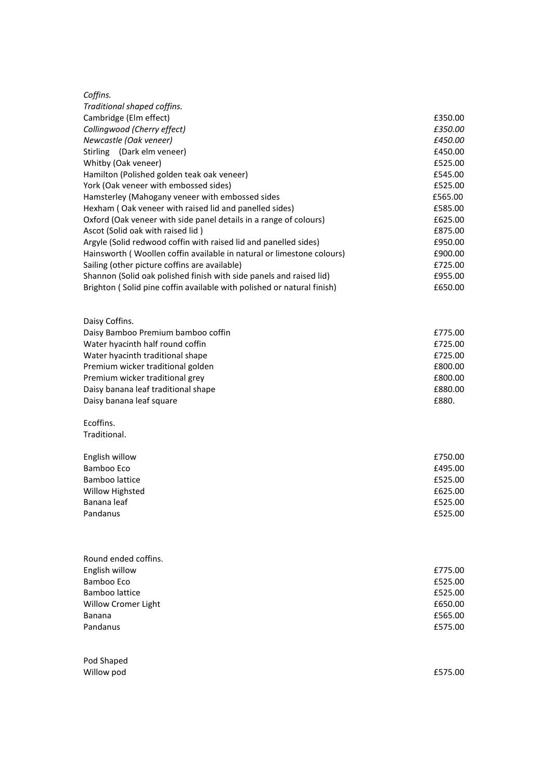| Coffins.                                                               |         |
|------------------------------------------------------------------------|---------|
| Traditional shaped coffins.                                            |         |
| Cambridge (Elm effect)                                                 | £350.00 |
| Collingwood (Cherry effect)                                            | £350.00 |
| Newcastle (Oak veneer)                                                 | £450.00 |
| Stirling (Dark elm veneer)                                             | £450.00 |
| Whitby (Oak veneer)                                                    | £525.00 |
| Hamilton (Polished golden teak oak veneer)                             | £545.00 |
| York (Oak veneer with embossed sides)                                  | £525.00 |
| Hamsterley (Mahogany veneer with embossed sides                        | £565.00 |
| Hexham (Oak veneer with raised lid and panelled sides)                 | £585.00 |
| Oxford (Oak veneer with side panel details in a range of colours)      | £625.00 |
| Ascot (Solid oak with raised lid)                                      | £875.00 |
| Argyle (Solid redwood coffin with raised lid and panelled sides)       | £950.00 |
| Hainsworth (Woollen coffin available in natural or limestone colours)  | £900.00 |
| Sailing (other picture coffins are available)                          | £725.00 |
| Shannon (Solid oak polished finish with side panels and raised lid)    | £955.00 |
| Brighton (Solid pine coffin available with polished or natural finish) | £650.00 |
|                                                                        |         |
| Daisy Coffins.                                                         |         |
| Daisy Bamboo Premium bamboo coffin                                     | £775.00 |
| Water hyacinth half round coffin                                       | £725.00 |
| Water hyacinth traditional shape                                       | £725.00 |
| Premium wicker traditional golden                                      | £800.00 |
| Premium wicker traditional grey                                        | £800.00 |
| Daisy banana leaf traditional shape                                    | £880.00 |
| Daisy banana leaf square                                               | £880.   |
|                                                                        |         |
| Ecoffins.                                                              |         |
| Traditional.                                                           |         |
|                                                                        |         |
| English willow                                                         | £750.00 |
| Bamboo Eco                                                             | £495.00 |
| Bamboo lattice                                                         | £525.00 |
| Willow Highsted                                                        | £625.00 |
| Banana leaf                                                            | £525.00 |
| Pandanus                                                               | £525.00 |
|                                                                        |         |
|                                                                        |         |
| Round ended coffins.                                                   |         |
| English willow                                                         | £775.00 |
| Bamboo Eco                                                             | £525.00 |
| <b>Bamboo lattice</b>                                                  | £525.00 |
| Willow Cromer Light                                                    | £650.00 |
| Banana                                                                 | £565.00 |
| Pandanus                                                               | £575.00 |
|                                                                        |         |
|                                                                        |         |
| Pod Shaped                                                             |         |
| Willow pod                                                             | £575.00 |
|                                                                        |         |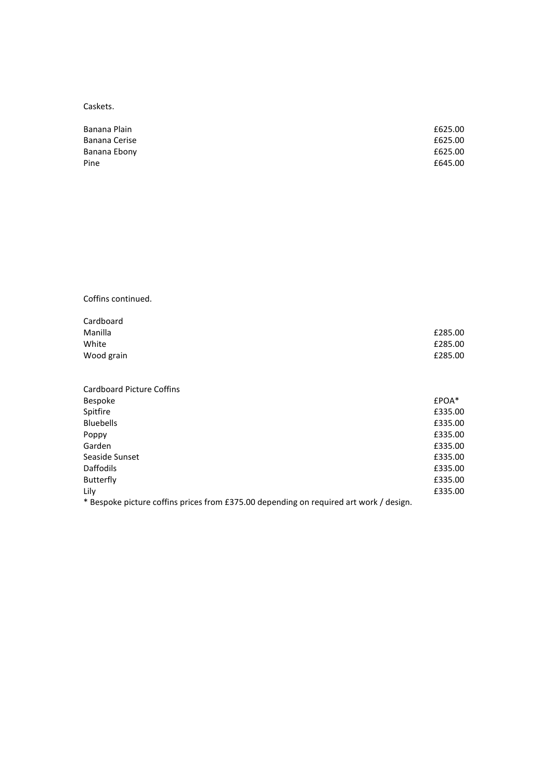Caskets.

| Banana Plain  | £625.00 |
|---------------|---------|
| Banana Cerise | £625.00 |
| Banana Ebony  | £625.00 |
| Pine          | £645.00 |

Coffins continued.

| Cardboard  |         |
|------------|---------|
| Manilla    | £285.00 |
| White      | £285.00 |
| Wood grain | £285.00 |

| <b>Cardboard Picture Coffins</b>                                                      |         |
|---------------------------------------------------------------------------------------|---------|
| <b>Bespoke</b>                                                                        | $EPOA*$ |
| Spitfire                                                                              | £335.00 |
| <b>Bluebells</b>                                                                      | £335.00 |
| Poppy                                                                                 | £335.00 |
| Garden                                                                                | £335.00 |
| Seaside Sunset                                                                        | £335.00 |
| <b>Daffodils</b>                                                                      | £335.00 |
| Butterfly                                                                             | £335.00 |
| Lily                                                                                  | £335.00 |
| * Becaake picture coffine prices from £275.00 depending on required art work / design |         |

Bespoke picture coffins prices from £375.00 depending on required art work / design.